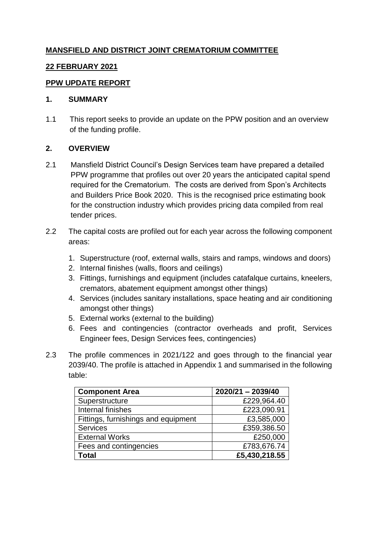# **MANSFIELD AND DISTRICT JOINT CREMATORIUM COMMITTEE**

## **22 FEBRUARY 2021**

### **PPW UPDATE REPORT**

#### **1. SUMMARY**

1.1 This report seeks to provide an update on the PPW position and an overview of the funding profile.

### **2. OVERVIEW**

- 2.1 Mansfield District Council's Design Services team have prepared a detailed PPW programme that profiles out over 20 years the anticipated capital spend required for the Crematorium. The costs are derived from Spon's Architects and Builders Price Book 2020. This is the recognised price estimating book for the construction industry which provides pricing data compiled from real tender prices.
- 2.2 The capital costs are profiled out for each year across the following component areas:
	- 1. Superstructure (roof, external walls, stairs and ramps, windows and doors)
	- 2. Internal finishes (walls, floors and ceilings)
	- 3. Fittings, furnishings and equipment (includes catafalque curtains, kneelers, cremators, abatement equipment amongst other things)
	- 4. Services (includes sanitary installations, space heating and air conditioning amongst other things)
	- 5. External works (external to the building)
	- 6. Fees and contingencies (contractor overheads and profit, Services Engineer fees, Design Services fees, contingencies)
- 2.3 The profile commences in 2021/122 and goes through to the financial year 2039/40. The profile is attached in Appendix 1 and summarised in the following table:

| <b>Component Area</b>               | 2020/21 - 2039/40 |
|-------------------------------------|-------------------|
| Superstructure                      | £229,964.40       |
| Internal finishes                   | £223,090.91       |
| Fittings, furnishings and equipment | £3,585,000        |
| <b>Services</b>                     | £359,386.50       |
| <b>External Works</b>               | £250,000          |
| Fees and contingencies              | £783,676.74       |
| Total                               | £5,430,218.55     |